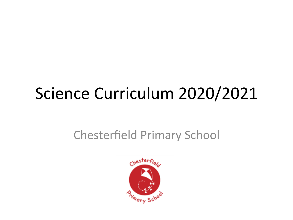## Science Curriculum 2020/2021

## Chesterfield Primary School

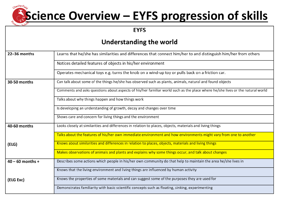#### chesterfie **Science Overview - EYFS progression of skills**

**EYFS** 

#### **Understanding the world**

| 22-36 months       | Learns that he/she has similarities and differences that connect him/her to and distinguish him/her from others               |
|--------------------|-------------------------------------------------------------------------------------------------------------------------------|
|                    | Notices detailed features of objects in his/her environment                                                                   |
|                    | Operates mechanical toys e.g. turns the knob on a wind-up toy or pulls back on a friction car.                                |
| 30-50 months       | Can talk about some of the things he/she has observed such as plants, animals, natural and found objects                      |
|                    | Comments and asks questions about aspects of his/her familiar world such as the place where he/she lives or the natural world |
|                    | Talks about why things happen and how things work                                                                             |
|                    | Is developing an understanding of growth, decay and changes over time                                                         |
|                    | Shows care and concern for living things and the environment                                                                  |
| 40-60 months       | Looks closely at similarities and differences in relation to places, objects, materials and living things                     |
|                    | Talks about the features of his/her own immediate environment and how environments might vary from one to another             |
| (ELG)              | Knows about similarities and differences in relation to places, objects, materials and living things                          |
|                    | Makes observations of animals and plants and explains why some things occur, and talk about changes                           |
| $40 - 60$ months + | Describes some actions which people in his/her own community do that help to maintain the area he/she lives in                |
|                    | Knows that the living environment and living things are influenced by human activity                                          |
| (ELG Exc)          | Knows the properties of some materials and can suggest some of the purposes they are used for                                 |
|                    | Demonstrates familiarity with basic scientific concepts such as floating, sinking, experimenting                              |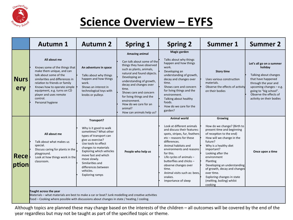

## **Science Overview – EYFS**

|                    | <b>Autumn 1</b>                                                                                                                                                                                                                                                                                  | <b>Autumn 2</b>                                                                                                                                                                                                                                                                                                  | <b>Spring 1</b>                                                                                                                                                                                                                                                                                                                                            | <b>Spring 2</b>                                                                                                                                                                                                                                                                                                                                                                          | <b>Summer 1</b>                                                                                                                                                                                                                                                                                                                                                                    | <b>Summer 2</b>                                                                                                                                                                                                         |
|--------------------|--------------------------------------------------------------------------------------------------------------------------------------------------------------------------------------------------------------------------------------------------------------------------------------------------|------------------------------------------------------------------------------------------------------------------------------------------------------------------------------------------------------------------------------------------------------------------------------------------------------------------|------------------------------------------------------------------------------------------------------------------------------------------------------------------------------------------------------------------------------------------------------------------------------------------------------------------------------------------------------------|------------------------------------------------------------------------------------------------------------------------------------------------------------------------------------------------------------------------------------------------------------------------------------------------------------------------------------------------------------------------------------------|------------------------------------------------------------------------------------------------------------------------------------------------------------------------------------------------------------------------------------------------------------------------------------------------------------------------------------------------------------------------------------|-------------------------------------------------------------------------------------------------------------------------------------------------------------------------------------------------------------------------|
| <b>Nurs</b><br>ery | All about me<br>Knows some of the things that<br>make them unique, and can<br>talk about some of the<br>similarities and differences in<br>relation to friends or family<br>Knows how to operate simple<br>equipment, e.g. turns on CD<br>player and uses remote<br>control.<br>Personal hygiene | An adventure in space<br>Talks about why things<br>happen and how things<br>work.<br>Shows an interest in<br>technological toys with<br>knobs or pulleys                                                                                                                                                         | Amazing animal<br>Can talk about some of the<br>things they have observed<br>such as plants, animals,<br>natural and found objects.<br>Developing an<br>understanding of growth,<br>decay and changes over<br>time.<br>Shows care and concern<br>for living things and the<br>environment.<br>How do we care for an<br>animal?<br>How can animals help us? | Magic garden<br>Talks about why things<br>happen and how things<br>work.<br>Developing an<br>understanding of growth,<br>decay and changes over<br>time.<br>Shows care and concern<br>for living things and the<br>environment.<br>Talking about healthy<br>foods.<br>How do we care for the<br>garden?                                                                                  | <b>Story time</b><br>Uses various construction<br>materials.<br>Observe the effects of activity<br>on their bodies                                                                                                                                                                                                                                                                 | Let's all go on a summer<br>holiday<br>Talking about changes<br>that have happened<br>through the year and<br>upcoming changes $-$ e.g.<br>going to "big school".<br>Observe the effects of<br>activity on their bodies |
| Rece<br>$ $ ption  | All about me<br>Talk about what makes us<br>special.<br>Discuss caring for plants in the<br>playground.<br>Look at how things work in the<br>classroom.                                                                                                                                          | Transport?<br>Why is it good to walk<br>sometimes? What other<br>types of transport can<br>give us exercise?<br>Use tools to effect<br>changes to materials<br>Exploring which vehicles<br>move fast and which<br>move slowly.<br>Similarities and<br>differences between<br>vehicles.<br><b>Exploring ramps</b> | People who help us                                                                                                                                                                                                                                                                                                                                         | <b>Animal world</b><br>Look at different animals<br>and discuss their features:<br>spots, stripes, fur, feathers<br>etc - reasons for these<br>differences.<br>Animal habitats and<br>environments and reasons<br>for this.<br>Life cycles of animals $-$<br>butterflies and chicks -<br>observe changes over<br>time.<br>Animal visits such as: bees,<br>snakes.<br>Importance of sleep | Growing<br>How do we change? (Birth to<br>present time and beginning<br>of reception to the end)<br>How will we change in the<br>future?<br>Why is a healthy diet<br>important?<br>Looking after the<br>environment<br>Planting<br>Developing an understanding<br>of growth, decay and changes<br>over time.<br>Exploring changes in state<br>(melting, boiling) whilst<br>cooking | Once upon a time                                                                                                                                                                                                        |
|                    | Taught across the year<br>Materials - what materials are best to make a car or boat? Junk modelling and creative activities<br>Food – Cooking where possible with discussions about changes in state / heating / cooling.                                                                        |                                                                                                                                                                                                                                                                                                                  |                                                                                                                                                                                                                                                                                                                                                            |                                                                                                                                                                                                                                                                                                                                                                                          |                                                                                                                                                                                                                                                                                                                                                                                    |                                                                                                                                                                                                                         |

Although topics are planned these may change based on the interests of the children - all outcomes will be covered by the end of the year regardless but may not be taught as part of the specified topic or theme.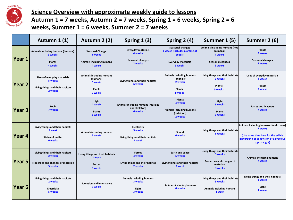

**Science Overview with approximate weekly guide to lessons** Autumn 1 = 7 weeks, Autumn 2 = 7 weeks, Spring 1 = 6 weeks, Spring 2 = 6 **weeks, Summer 1 = 6 weeks, Summer 2 = 7 weeks** 

|                   | Autumn 1 (1)                                   | Autumn 2 (2)                                    | Spring $1(3)$                                      | Spring $2(4)$                                                      | Summer 1 (5)                                        | Summer 2 (6)                                                                                   |  |
|-------------------|------------------------------------------------|-------------------------------------------------|----------------------------------------------------|--------------------------------------------------------------------|-----------------------------------------------------|------------------------------------------------------------------------------------------------|--|
| Year 1            | Animals including humans (humans)<br>3 weeks   | <b>Seasonal Change</b><br>3 weeks               | <b>Everyday materials</b><br>4 weeks               | <b>Seasonal changes</b><br>3 weeks (includes planting of<br>seeds) | Animals including humans (not<br>humans)<br>4 weeks | <b>Plants</b><br>5 weeks<br><b>Seasonal changes</b>                                            |  |
|                   | <b>Plants</b><br>4 weeks                       | Animals including humans<br>4 weeks             | <b>Seasonal changes</b><br>2 weeks                 | <b>Everyday materials</b><br>3 weeks                               | Seasonal changes<br>2 weeks                         | 2 weeks                                                                                        |  |
| Year <sub>2</sub> | Uses of everyday materials<br>5 weeks          | Animals including humans<br>(humans)<br>5 weeks | Living things and their habitats                   | Animals including humans<br>(animals)<br>2 weeks                   | Living things and their habitats<br>3 weeks         | Uses of everyday materials<br>4 weeks                                                          |  |
|                   | Living things and their habitats<br>2 weeks    | <b>Plants</b><br>2 weeks                        | 6 weeks                                            | <b>Plants</b><br>4 weeks                                           | <b>Plants</b><br>3 weeks                            | <b>Plants</b><br>3 weeks                                                                       |  |
|                   | <b>Rocks</b>                                   | Light<br>4 weeks                                | Animals including humans (muscles<br>and skeleton) | <b>Plants</b><br>4 weeks                                           | Light<br>3 weeks                                    | <b>Forces and Magnets</b>                                                                      |  |
| Year <sub>3</sub> | 7 weeks                                        | <b>Plants</b><br>3 weeks                        | <b>6 weeks</b>                                     | Animals including humans<br>(nutrition)<br>2 weeks                 | <b>Plants</b><br>3 weeks                            | 7 weeks                                                                                        |  |
|                   | Living things and their habitats<br>1 week     | Animals including humans                        | Electricity<br>5 weeks                             | Sound                                                              | Living things and their habitats<br><b>6 weeks</b>  | Animals including humans (food chains)<br>7 weeks                                              |  |
| Year 4            | <b>States of matter</b><br>6 weeks             | 7 weeks                                         | Living things and their habitats<br>1 week         | <b>6 weeks</b>                                                     |                                                     | (Use some time here for the edible<br>playground or as revision of a previous<br>topic taught) |  |
|                   | Living things and their habitats<br>2 weeks    | Living things and their habitats<br>1 week      | <b>Forces</b><br>4 weeks                           | Earth and space<br>5 weeks                                         | Living things and their habitats<br>3 weeks         | Animals including humans                                                                       |  |
| Year 5            | Properties and changes of materials<br>5 weeks | <b>Forces</b><br>6 weeks                        | Living things and their habitat<br>2 weeks         | Living things and their habitats<br>1 week                         | Properties and changes of<br>materials<br>3 weeks   | 7 weeks                                                                                        |  |
|                   | Living things and their habitats<br>2 weeks    | <b>Evolution and inheritance</b>                | Animals including humans<br>3 weeks                |                                                                    | Living things and their habitats<br>5 weeks         | Living things and their habitats<br>3 weeks                                                    |  |
| Year 6            | Electricity<br>5 weeks                         | 7 weeks                                         | Light<br>3 weeks                                   | Animals including humans<br><b>6 weeks</b>                         | Animals including humans<br>1 week                  | Light<br>4 weeks                                                                               |  |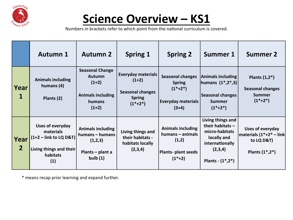

## **Science Overview - KS1**

Numbers in brackets refer to which point from the national curriculum is covered.

|                        | <b>Autumn 1</b>                                                                                                | <b>Autumn 2</b>                                                                                     | <b>Spring 1</b>                                                                                 | <b>Spring 2</b>                                                                                 | <b>Summer 1</b>                                                                                                               | <b>Summer 2</b>                                                                          |
|------------------------|----------------------------------------------------------------------------------------------------------------|-----------------------------------------------------------------------------------------------------|-------------------------------------------------------------------------------------------------|-------------------------------------------------------------------------------------------------|-------------------------------------------------------------------------------------------------------------------------------|------------------------------------------------------------------------------------------|
| Year<br>1              | <b>Animals including</b><br>humans (4)<br>Plants (2)                                                           | <b>Seasonal Change</b><br><b>Autumn</b><br>$(1+2)$<br><b>Animals including</b><br>humans<br>$(1+2)$ | <b>Everyday materials</b><br>$(1+2)$<br><b>Seasonal changes</b><br><b>Spring</b><br>$(1^*+2^*)$ | <b>Seasonal changes</b><br><b>Spring</b><br>$(1^*+2^*)$<br><b>Everyday materials</b><br>$(3+4)$ | Animals including<br> humans $(1^*,2^*,3)$  <br><b>Seasonal changes</b><br><b>Summer</b><br>$(1^*+2^*)$                       | Plants $(1,2^*)$<br><b>Seasonal changes</b><br><b>Summer</b><br>$(1^*+2^*)$              |
| Year<br>$\overline{2}$ | Uses of everyday<br>materials<br>$(1+2 - \text{link to LQ D&T})$<br>Living things and their<br>habitats<br>(1) | <b>Animals including</b><br>humans - humans<br>(1,2,3)<br>Plants - plant a<br>bulb $(1)$            | Living things and<br>their habitats -<br>habitats locally<br>(2,3,4)                            | <b>Animals including</b><br>humans - animals<br>(1,2)<br>Plants- plant seeds<br>$(1^*+2)$       | Living things and<br>their habitats -<br>micro-habitats<br>locally and<br>internationally<br>(2,3,4)<br>Plants - $(1^*, 2^*)$ | Uses of everyday<br>$ $ materials (1*+2* – link $ $<br>to LQ D&T)<br>Plants $(1^*, 2^*)$ |

\* means recap prior learning and expand further.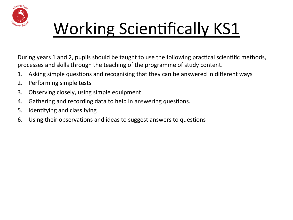

# Working Scientifically KS1

During years 1 and 2, pupils should be taught to use the following practical scientific methods, processes and skills through the teaching of the programme of study content.

- 1. Asking simple questions and recognising that they can be answered in different ways
- 2. Performing simple tests
- 3. Observing closely, using simple equipment
- 4. Gathering and recording data to help in answering questions.
- 5. Identifying and classifying
- 6. Using their observations and ideas to suggest answers to questions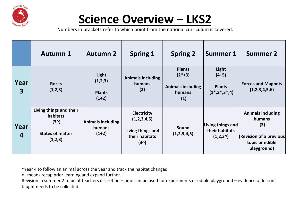

## **Science Overview – LKS2**

Numbers in brackets refer to which point from the national curriculum is covered.

|                                 | <b>Autumn 1</b>                                                                     | <b>Autumn 2</b>                               | <b>Spring 1</b>                                                                    | <b>Spring 2</b>                                                         | <b>Summer 1</b>                                              | <b>Summer 2</b>                                                                                        |
|---------------------------------|-------------------------------------------------------------------------------------|-----------------------------------------------|------------------------------------------------------------------------------------|-------------------------------------------------------------------------|--------------------------------------------------------------|--------------------------------------------------------------------------------------------------------|
| Year<br>$\overline{\mathbf{3}}$ | <b>Rocks</b><br>(1,2,3)                                                             | Light<br>(1,2,3)<br><b>Plants</b><br>$(1+2)$  | <b>Animals including</b><br>humans<br>(2)                                          | <b>Plants</b><br>$(2^*+3)$<br><b>Animals including</b><br>humans<br>(1) | Light<br>$(4+5)$<br><b>Plants</b><br>$(1^*, 2^*, 3^*, 4)$    | <b>Forces and Magnets</b><br>(1,2,3,4,5,6)                                                             |
| Year<br>$\overline{4}$          | Living things and their<br>habitats<br>$(3^)$<br><b>States of matter</b><br>(1,2,3) | <b>Animals including</b><br>humans<br>$(1+2)$ | <b>Electricity</b><br>(1,2,3,4,5)<br>Living things and<br>their habitats<br>$(3^)$ | Sound<br>(1,2,3,4,5)                                                    | Living things and<br>their habitats<br>(1,2,3 <sup>0</sup> ) | <b>Animals including</b><br>humans<br>(3)<br>(Revision of a previous<br>topic or edible<br>playground) |

^Year 4 to follow an animal across the year and track the habitat changes

• means recap prior learning and expand further.

Revision in summer 2 to be at teachers discretion – time can be used for experiments or edible playground – evidence of lessons taught needs to be collected.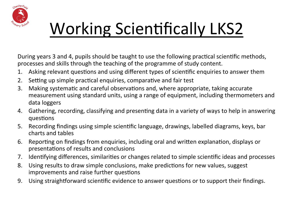

# Working Scientifically LKS2

During years 3 and 4, pupils should be taught to use the following practical scientific methods, processes and skills through the teaching of the programme of study content.

- 1. Asking relevant questions and using different types of scientific enquiries to answer them
- 2. Setting up simple practical enquiries, comparative and fair test
- 3. Making systematic and careful observations and, where appropriate, taking accurate measurement using standard units, using a range of equipment, including thermometers and data loggers
- 4. Gathering, recording, classifying and presenting data in a variety of ways to help in answering questions
- 5. Recording findings using simple scientific language, drawings, labelled diagrams, keys, bar charts and tables
- 6. Reporting on findings from enquiries, including oral and written explanation, displays or presentations of results and conclusions
- 7. Identifying differences, similarities or changes related to simple scientific ideas and processes
- 8. Using results to draw simple conclusions, make predictions for new values, suggest improvements and raise further questions
- 9. Using straightforward scientific evidence to answer questions or to support their findings.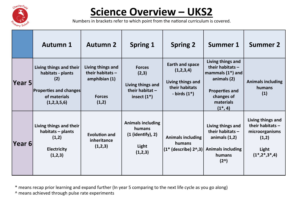

## **Science Overview - UKS2**

Numbers in brackets refer to which point from the national curriculum is covered.

|        | <b>Autumn 1</b>                                                                                                     | <b>Autumn 2</b>                                                                    | <b>Spring 1</b>                                                                    | <b>Spring 2</b>                                                                               | <b>Summer 1</b>                                                                                                                                 | <b>Summer 2</b>                                                                                   |
|--------|---------------------------------------------------------------------------------------------------------------------|------------------------------------------------------------------------------------|------------------------------------------------------------------------------------|-----------------------------------------------------------------------------------------------|-------------------------------------------------------------------------------------------------------------------------------------------------|---------------------------------------------------------------------------------------------------|
| Year 5 | Living things and their<br>habitats - plants<br>(2)<br><b>Properties and changes</b><br>of materials<br>(1,2,3,5,6) | Living things and<br>their habitats $-$<br>amphibian (1)<br><b>Forces</b><br>(1,2) | <b>Forces</b><br>(2,3)<br>Living things and<br>their habitat $-$<br>insect $(1^*)$ | <b>Earth and space</b><br>(1,2,3,4)<br>Living things and<br>their habitats<br>- birds $(1^*)$ | Living things and<br>their habitats $-$<br>mammals $(1^*)$ and<br>animals (2)<br><b>Properties and</b><br>changes of<br>materials<br>$(1^*, 4)$ | <b>Animals including</b><br>humans<br>(1)                                                         |
| Year 6 | Living things and their<br>habitats - plants<br>(1,2)<br><b>Electricity</b><br>(1,2,3)                              | <b>Evolution and</b><br>inheritance<br>(1,2,3)                                     | <b>Animals including</b><br>humans<br>$(1$ (identify), 2)<br>Light<br>(1,2,3)      | <b>Animals including</b><br>humans<br>$(1*$ (describe) $20$ , 3)                              | Living things and<br>their habitats $-$<br>animals $(1,2)$<br><b>Animals including</b><br>humans<br>$(2^{\wedge})$                              | Living things and<br>their habitats -<br>microorganisms<br>(1,2)<br>Light<br>$(1^*, 2^*, 3^*, 4)$ |

\* means recap prior learning and expand further (In year 5 comparing to the next life cycle as you go along)

^ means achieved through pulse rate experiments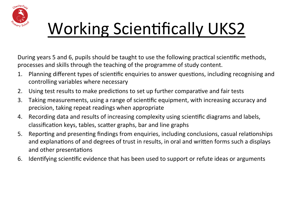

# Working Scientifically UKS2

During years 5 and 6, pupils should be taught to use the following practical scientific methods, processes and skills through the teaching of the programme of study content.

- 1. Planning different types of scientific enquiries to answer questions, including recognising and controlling variables where necessary
- 2. Using test results to make predictions to set up further comparative and fair tests
- 3. Taking measurements, using a range of scientific equipment, with increasing accuracy and precision, taking repeat readings when appropriate
- 4. Recording data and results of increasing complexity using scientific diagrams and labels, classification keys, tables, scatter graphs, bar and line graphs
- 5. Reporting and presenting findings from enquiries, including conclusions, casual relationships and explanations of and degrees of trust in results, in oral and written forms such a displays and other presentations
- 6. Identifying scientific evidence that has been used to support or refute ideas or arguments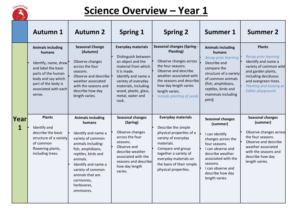

### **Science Overview - Year 1**

|           | <b>Autumn 1</b>                                                                                                                                                                        | <b>Autumn 2</b>                                                                                                                                                                                                                                                          | <b>Spring 1</b>                                                                                                                                                                                                                         | <b>Spring 2</b>                                                                                                                                                                                                                                      | <b>Summer 1</b>                                                                                                                                                                                                                     | <b>Summer 2</b>                                                                                                                                                                                                     |
|-----------|----------------------------------------------------------------------------------------------------------------------------------------------------------------------------------------|--------------------------------------------------------------------------------------------------------------------------------------------------------------------------------------------------------------------------------------------------------------------------|-----------------------------------------------------------------------------------------------------------------------------------------------------------------------------------------------------------------------------------------|------------------------------------------------------------------------------------------------------------------------------------------------------------------------------------------------------------------------------------------------------|-------------------------------------------------------------------------------------------------------------------------------------------------------------------------------------------------------------------------------------|---------------------------------------------------------------------------------------------------------------------------------------------------------------------------------------------------------------------|
|           | <b>Animals including</b><br>humans<br>Identify, name, draw<br>and label the basic<br>parts of the human<br>body and say which<br>part of the body is<br>associated with each<br>sense. | <b>Seasonal Change</b><br>(Autumn)<br>Observe changes<br>across the four<br>seasons.<br>Observe and describe<br>weather associated<br>with the seasons and<br>describe how day<br>length varies.                                                                         | <b>Everyday materials</b><br>Distinguish between<br>an object and the<br>material from which<br>it is made.<br>Identify and name a<br>variety of everyday<br>materials, including<br>wood, plastic, glass,<br>metal, water and<br>rock. | <b>Seasonal changes (Spring -</b><br>Planting)<br>Observe changes across<br>the four seasons.<br>Observe and describe<br>weather associated with<br>the seasons and describe<br>how day length varies<br>length varies.<br>Include planting of seeds | <b>Animals including</b><br>humans<br><b>Recap prior learning</b><br>Describe and<br>compare the<br>structure of a variety<br>of common animals<br>(fish, amphibians,<br>reptiles, birds and<br>mammals including<br>pets)          | <b>Plants</b><br><b>Recap prior learning</b><br>Identify and name a<br>variety of common wild<br>and garden plants,<br>including deciduous<br>and evergreen trees.<br>Planting and looking at<br>Edible playground. |
| Year<br>1 | <b>Plants</b><br>Identify and<br>describe the basic<br>structure of a variety<br>of common<br>flowering plants,<br>including trees.                                                    | <b>Animals including</b><br>humans<br>Identify and name a<br>variety of common<br>animals including:<br>fish, amphibians,<br>reptiles, birds and<br>animals.<br>Identify and name a<br>variety of common<br>animals that are<br>carnivores,<br>herbivores,<br>omnivores. | <b>Seasonal changes</b><br>(Spring)<br>Observe changes<br>across the four<br>seasons.<br>Observe and<br>describe weather<br>associated with the<br>seasons and describe<br>how day length<br>varies.                                    | <b>Everyday materials</b><br>Describe the simple<br>physical properties of a<br>variety of everyday<br>materials.<br>Compare and group<br>together a variety of<br>everyday materials on<br>the basis of their simple<br>physical properties.        | <b>Seasonal changes</b><br>(summer)<br>I can identify<br>changes across the<br>four seasons.<br>I can observe and<br>describe weather<br>associated with the<br>seasons.<br>I can observe and<br>describe how day<br>length varies. | <b>Seasonal changes</b><br>(summer)<br>Observe changes across<br>the four seasons.<br>Observe and describe<br>weather associated<br>with the seasons and<br>describe how day<br>length varies.                      |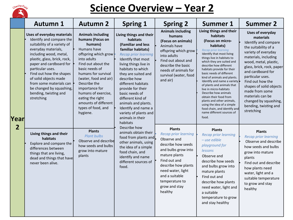

### **<u>Science Overview - Year 2</u>**

|                        | <b>Autumn 1</b>                                                                                                                                                                                                                                                                                                                                                                | <b>Autumn 2</b>                                                                                                                                                                                                                                                                                                                              | <b>Spring 1</b>                                                                                                                                                                                                                                                                                                                                                                                                                    | <b>Spring 2</b>                                                                                                                                                                                                                                       | <b>Summer 1</b>                                                                                                                                                                                                                                                                                                                                                                                                                                                                                                                                                                          | <b>Summer 2</b>                                                                                                                                                                                                                                                                                                                                                                         |
|------------------------|--------------------------------------------------------------------------------------------------------------------------------------------------------------------------------------------------------------------------------------------------------------------------------------------------------------------------------------------------------------------------------|----------------------------------------------------------------------------------------------------------------------------------------------------------------------------------------------------------------------------------------------------------------------------------------------------------------------------------------------|------------------------------------------------------------------------------------------------------------------------------------------------------------------------------------------------------------------------------------------------------------------------------------------------------------------------------------------------------------------------------------------------------------------------------------|-------------------------------------------------------------------------------------------------------------------------------------------------------------------------------------------------------------------------------------------------------|------------------------------------------------------------------------------------------------------------------------------------------------------------------------------------------------------------------------------------------------------------------------------------------------------------------------------------------------------------------------------------------------------------------------------------------------------------------------------------------------------------------------------------------------------------------------------------------|-----------------------------------------------------------------------------------------------------------------------------------------------------------------------------------------------------------------------------------------------------------------------------------------------------------------------------------------------------------------------------------------|
| Year<br>$\overline{2}$ | <b>Uses of everyday materials</b><br>Identify and compare the<br>suitability of a variety of<br>everyday materials,<br>including wood, metal,<br>plastic, glass, brick, rock,<br>paper and cardboard for<br>particular uses.<br>Find out how the shapes<br>of solid objects made<br>from some materials can<br>be changed by squashing,<br>bending, twisting and<br>stretching | <b>Animals including</b><br>humans (Focus on<br>humans)<br>Humans have<br>offspring which grow<br>into adults<br>Find out about the<br>basic needs of<br>humans for survival<br>(water, food and air)<br>Describe the<br>importance for<br>humans of exercise,<br>eating the right<br>amounts of different<br>types of food, and<br>hygiene. | Living things and their<br>habitats<br>(Familiar and less<br>familiar habitats)<br><b>Recap prior learning</b><br>Identify that most<br>living things live in<br>habitats to which<br>they are suited and<br>describe how<br>different habitats<br>provide for their<br>basic needs of<br>different kind of<br>animals and plants.<br>Identify and name a<br>variety of plants and<br>animals in their<br>habitats<br>Describe how | <b>Animals including</b><br>humans<br>(Focus on animals)<br>Animals have<br>offspring which grow<br>into adults<br>Find out about and<br>describe the basic<br>needs of animals for<br>survival (water, food<br>and air)                              | Living things and their<br>habitats<br>(Focus on micro-<br>habitats)<br><b>Recap prior learning</b><br>Identify that most living<br>things live in habitats to<br>which they are suited and<br>describe how different<br>habitats provide for their<br>basic needs of different<br>kind of animals and plants.<br>Identify and name a variety<br>of plants and animals that<br>live in micro-habitats<br>Describe how animals<br>obtain their food from<br>plants and other animals,<br>using the idea of a simple<br>food chain, and identify and<br>name different sources of<br>food. | <b>Uses of everyday</b><br>materials<br>Identify and compare<br>the suitability of a<br>variety of everyday<br>materials, including<br>wood, metal, plastic,<br>glass, brick, rock, paper<br>and cardboard for<br>particular uses.<br>Find out how the<br>shapes of solid objects<br>made from some<br>materials can be<br>changed by squashing,<br>bending, twisting and<br>stretching |
|                        | Living things and their<br>habitats<br>Explore and compare the<br>differences between<br>things that are living,<br>dead and things that have<br>never been alive.                                                                                                                                                                                                             | <b>Plants</b><br><b>Plant bulbs</b><br>Observe and describe<br>how seeds and bulbs<br>grow into mature<br>plants                                                                                                                                                                                                                             | animals obtain their<br>food from plants and<br>other animals, using<br>the idea of a simple<br>food chain, and<br>identify and name<br>different sources of<br>food.                                                                                                                                                                                                                                                              | <b>Plants</b><br><b>Recap prior learning</b><br>Observe and<br>describe how seeds<br>and bulbs grow into<br>mature plants<br>Find out and<br>describe how plants<br>need water, light<br>and a suitable<br>temperature to<br>grow and stay<br>healthy | <b>Plants</b><br><b>Recap prior learning</b><br>$-$ use edible<br>playground for<br>lessons<br>Observe and<br>describe how seeds<br>and bulbs grow into<br>mature plants<br>Find out and<br>describe how plants<br>need water, light and<br>a suitable<br>temperature to grow<br>and stay healthy                                                                                                                                                                                                                                                                                        | <b>Plants</b><br><b>Recap prior learning</b><br>Observe and describe<br>how seeds and bulbs<br>grow into mature<br>plants<br>Find out and describe<br>how plants need<br>water, light and a<br>suitable temperature<br>to grow and stay<br>healthy                                                                                                                                      |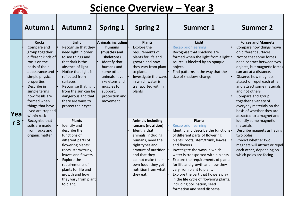

### **<u>Science Overview - Year 3</u>**

|            | <b>Autumn 1</b>                                                                                                                                                                                                                                                                   | <b>Autumn 2</b>                                                                                                                                                                                                                                                                        | <b>Spring 1</b>                                                                                                                                                                                  | <b>Spring 2</b>                                                                                                                                                                                                                                              | <b>Summer 1</b>                                                                                                                                                                                                                                                                                                                                                                                                                                                                                                   | <b>Summer 2</b>                                                                                                                                                                                                                                                                                                                                                                                                                           |
|------------|-----------------------------------------------------------------------------------------------------------------------------------------------------------------------------------------------------------------------------------------------------------------------------------|----------------------------------------------------------------------------------------------------------------------------------------------------------------------------------------------------------------------------------------------------------------------------------------|--------------------------------------------------------------------------------------------------------------------------------------------------------------------------------------------------|--------------------------------------------------------------------------------------------------------------------------------------------------------------------------------------------------------------------------------------------------------------|-------------------------------------------------------------------------------------------------------------------------------------------------------------------------------------------------------------------------------------------------------------------------------------------------------------------------------------------------------------------------------------------------------------------------------------------------------------------------------------------------------------------|-------------------------------------------------------------------------------------------------------------------------------------------------------------------------------------------------------------------------------------------------------------------------------------------------------------------------------------------------------------------------------------------------------------------------------------------|
|            | <b>Rocks</b><br>Compare and<br>group together<br>different kinds of<br>rocks on the<br>basis of their<br>appearance and<br>simple physical<br>properties<br>Describe in<br>simple terms<br>how fossils are<br>formed when<br>things that have<br>lived are trapped<br>within rock | Light<br>Recognise that they<br>need light in order<br>to see things and<br>that dark is the<br>absence of light<br>Notice that light is<br>reflected from<br>surfaces<br>Recognise that light<br>from the sun can be<br>dangerous and that<br>there are ways to<br>protect their eyes | Animals including<br>humans<br>(muscles and<br>skeletons)<br>Identify that<br>humans and<br>some other<br>animals have<br>skeletons and<br>muscles for<br>support,<br>protection and<br>movement | <b>Plants</b><br>Explore the<br>requirements of<br>plants for life and<br>growth and how<br>they vary from plant<br>to plant.<br>Investigate the ways<br>in which water is<br>transported within<br>plants                                                   | Light<br><b>Recap prior learning</b><br>Recognise that shadows are<br>formed when the light from a light<br>source is blocked by an opaque<br>object.<br>Find patterns in the way that the<br>size of shadows change                                                                                                                                                                                                                                                                                              | <b>Forces and Magnets</b><br>Compare how things move<br>on different surfaces<br>Notice that some forces<br>need contact between two<br>objects, but magnetic forces<br>can act at a distance.<br>Observe how magnets<br>attract or repel each other<br>and attract some materials<br>and not others<br>Compare and group<br>together a variety of<br>everyday materials on the<br>basis of whether they are<br>attracted to a magnet and |
| Yeal<br>r3 | Recognise that<br>soils are made<br>from rocks and<br>organic matter                                                                                                                                                                                                              | <b>Plants</b><br>Identify and<br>describe the<br>functions of<br>different parts of<br>flowering plants:<br>roots, stem/trunk,<br>leaves and flowers.<br>Explore the<br>requirements of<br>plants for life and<br>growth and how<br>they vary from plant<br>to plant.                  |                                                                                                                                                                                                  | <b>Animals including</b><br>humans (nutrition)<br>Identify that<br>animals, including<br>humans, need the<br>right types and<br>amount of nutrition <b>b</b><br>and that they<br>cannot make their<br>own food; they get<br>nutrition from what<br>they eat. | <b>Plants</b><br><b>Recap prior learning</b><br>Identify and describe the functions $\cdot$<br>of different parts of flowering<br>plants: roots, stem/trunk, leaves<br>and flowers.<br>Investigate the ways in which<br>water is transported within plants<br>Explore the requirements of plants<br>for life and growth and how they<br>vary from plant to plant.<br>Explore the part that flowers play<br>in the life cycle of flowering plants,<br>including pollination, seed<br>formation and seed dispersal. | identify some magnetic<br>materials<br>Describe magnets as having<br>two poles<br>Predict whether two<br>magnets will attract or repel<br>each other, depending on<br>which poles are facing                                                                                                                                                                                                                                              |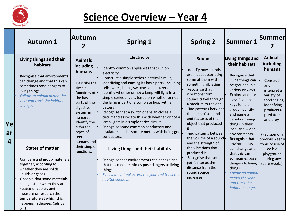

### **Science Overview - Year 4**

|               | <b>Autumn 1</b>                                                                                                                                                                                                                                                                                                      | Autumn<br>2                                                                                                                                                                                                            | <b>Spring 1</b>                                                                                                                                                                                                                                                                                                                                                                                                                                                                                                                                                                                                                                    | <b>Spring 2</b>                                                                                                                                                                                                                                                                                                                                 | <b>Summer 1</b>                                                                                                                                                                                                                                                                                                                                                                                                                                                                    | <b>Summer</b>                                                                                                                                                                  |
|---------------|----------------------------------------------------------------------------------------------------------------------------------------------------------------------------------------------------------------------------------------------------------------------------------------------------------------------|------------------------------------------------------------------------------------------------------------------------------------------------------------------------------------------------------------------------|----------------------------------------------------------------------------------------------------------------------------------------------------------------------------------------------------------------------------------------------------------------------------------------------------------------------------------------------------------------------------------------------------------------------------------------------------------------------------------------------------------------------------------------------------------------------------------------------------------------------------------------------------|-------------------------------------------------------------------------------------------------------------------------------------------------------------------------------------------------------------------------------------------------------------------------------------------------------------------------------------------------|------------------------------------------------------------------------------------------------------------------------------------------------------------------------------------------------------------------------------------------------------------------------------------------------------------------------------------------------------------------------------------------------------------------------------------------------------------------------------------|--------------------------------------------------------------------------------------------------------------------------------------------------------------------------------|
| Ye<br>ar<br>4 | Living things and their<br>habitats<br>Recognise that environments<br>can change and that this can<br>sometimes pose dangers to<br>living things<br>Follow an animal across the<br>year and track the habitat<br>changes                                                                                             | <b>Animals</b><br>including<br>humans<br>Describe the<br>simple<br>functions of<br>the basic<br>parts of the<br>digestive<br>system in<br>humans.<br>Identify the<br>different<br>types of<br>teeth in<br>their simple | <b>Electricity</b><br>Identify common appliances that run on<br>electricity<br>Construct a simple series electrical circuit,<br>identifying and naming its basic parts, including<br>cells, wires, bulbs, switches and buzzers<br>Identify whether or not a lamp will light in a<br>simple series circuit, based on whether or not<br>the lamp is part of a complete loop with a<br>battery<br>Recognise that a switch opens an closes a<br>circuit and associate this with whether or not a<br>lamp lights in a simple series circuit<br>Recognise some common conductors and<br>insulators, and associate metals with being goof.<br>conductors. | Sound<br>Identify how sounds<br>are made, associating<br>some of them with<br>something vibrating<br>Recognise that<br>vibrations from<br>sounds travel through<br>a medium to the ear<br>Find patterns between<br>the pitch of a sound<br>and features of the<br>object that produced<br>it<br>Find patterns between<br>the volume of a sound. | Living things and<br>their habitats<br>Recognise that<br>living things can<br>be grouped in a<br>variety or ways<br>Explore and use<br>classification<br>keys to help<br>group, identify<br>and name a<br>variety of living<br>things in their<br>local and wider<br>environments<br>Recognise that<br>environments<br>can change and<br>that this can<br>sometimes pose<br>dangers to living<br>things<br>Follow an animal<br>across the year<br>and track the<br>habitat changes | <b>Animals</b><br>including<br>humans<br>Construct<br>and<br>interpret a<br>variety of<br>food chains,<br>identifying<br>producers,<br>predators<br>and prey<br>(Revision of a |
|               | <b>States of matter</b><br>Compare and group materials<br>together, according to<br>whether they are solids,<br>liquids or gases<br>Observe that some materials<br>change state when they are<br>heated or cooler, and<br>measure or research the<br>temperature at which this<br>happens in degrees Celsius<br>(°C) | humans and<br>functions.                                                                                                                                                                                               | Living things and their habitats<br>Recognise that environments can change and<br>that this can sometimes pose dangers to living<br>things<br>Follow an animal across the year and track the<br>habitat changes                                                                                                                                                                                                                                                                                                                                                                                                                                    | and the strength of<br>the vibrations that<br>produced it<br>Recognise that sounds<br>get fainter as the<br>distance from the<br>sound source<br>increases.                                                                                                                                                                                     |                                                                                                                                                                                                                                                                                                                                                                                                                                                                                    | previous Year 4<br>topic or use of<br>edible<br>playground<br>during any<br>spare weeks).                                                                                      |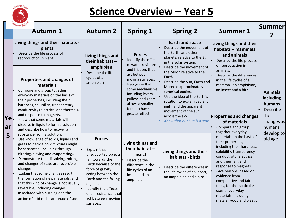

**Ye**

### **<u>Science Overview - Year 5</u>**

|                 | <sup>n</sup> imary Scho<br><b>Autumn 1</b>                                                                                                                                                                                                                                                                                                                                                                                                                                                                         | <b>Autumn 2</b>                                                                                                                                                                                                                                                      | <b>Spring 1</b>                                                                                                                         | <b>Spring 2</b>                                                                                                                                                                                                                             | <b>Summer 1</b>                                                                                                                                                                                                                                                                                                                                           | <b>Summer</b>                                                                    |
|-----------------|--------------------------------------------------------------------------------------------------------------------------------------------------------------------------------------------------------------------------------------------------------------------------------------------------------------------------------------------------------------------------------------------------------------------------------------------------------------------------------------------------------------------|----------------------------------------------------------------------------------------------------------------------------------------------------------------------------------------------------------------------------------------------------------------------|-----------------------------------------------------------------------------------------------------------------------------------------|---------------------------------------------------------------------------------------------------------------------------------------------------------------------------------------------------------------------------------------------|-----------------------------------------------------------------------------------------------------------------------------------------------------------------------------------------------------------------------------------------------------------------------------------------------------------------------------------------------------------|----------------------------------------------------------------------------------|
| Yel.<br>ar<br>5 | Living things and their habitats -<br>plants<br>Describe the life process of<br>reproduction in plants.                                                                                                                                                                                                                                                                                                                                                                                                            | Living things and<br>Identify the effects<br>their habitats $-$<br>of water resistance<br>amphibian<br>and friction, that<br>Describe the life<br>act between<br>cycles of an<br>Properties and changes of<br>moving surfaces.                                       |                                                                                                                                         | <b>Earth and space</b><br>Describe the movement of<br>the Earth, and other<br>planets, relative to the Sun<br>in the solar system.<br>Describe the movement of<br>the Moon relative to the<br>Earth.                                        | Living things and their<br>habitats - mammals<br>and animals<br>Describe the life process<br>of reproduction in<br>animals.<br>Describe the differences<br>in the life cycles of a                                                                                                                                                                        |                                                                                  |
|                 | materials<br>Compare and group together<br>everyday materials on the basis of<br>their properties, including their<br>hardness, solubility, transparency,<br>conductivity (electrical and thermal),<br>and response to magnets.<br>Know that some materials will<br>dissolve in liquid to form a solution<br>and describe how to recover a                                                                                                                                                                         | amphibian                                                                                                                                                                                                                                                            | Recognise that<br>some mechanisms,<br>including levers,<br>pulleys and gears,<br>allows a smaller<br>force to have a<br>greater effect. | Describe the Sun, Earth and<br>Moon as approximately<br>spherical bodies.<br>Use the idea of the Earth's<br>rotation to explain day and<br>night and the apparent<br>movement of the sun<br>across the sky.<br>Know that our Sun is a star. | mammal, an amphibian,<br>an insect and a bird.<br><b>Properties and changes</b><br>of materials<br>Compare and group<br>together everyday                                                                                                                                                                                                                 | <b>Animals</b><br>including<br>humans<br>Describe<br>the<br>changes as<br>humans |
|                 | substance from a solution.<br>Use knowledge of solids, liquids and<br>gases to decide how mixtures might<br>be separated, including through<br>filtering, sieving and evaporating<br>Demonstrate that dissolving, mixing<br>and changes of state are reversible<br>changes.<br>Explain that some changes result in<br>the formation of new materials, and<br>that this kind of change is not usually<br>reversible, including changes<br>associated with burning and the<br>action of acid on bicarbonate of soda. | <b>Forces</b><br>Explain that<br>unsupported objects<br>fall towards the<br>Earth because of the<br>force of gravity<br>acting between the<br>Earth and the falling<br>objects.<br>Identify the effects<br>of air resistance that<br>act between moving<br>surfaces. | Living things and<br>their habitat -<br>insect<br>Describe the<br>difference in the<br>life cycles of an<br>insect and an<br>amphibian. | Living things and their<br>habitats - birds<br>Describe the differences in<br>the life cycles of an insect,<br>an amphibian and a bird                                                                                                      | materials on the basis of<br>their properties,<br>including their hardness,<br>solubility, transparency,<br>conductivity (electrical<br>and thermal), and<br>response to magnets.<br>Give reasons, based on<br>evidence from<br>comparative and fair<br>tests, for the particular<br>uses of everyday<br>materials, including<br>metals, wood and plastic | develop to<br>old age.                                                           |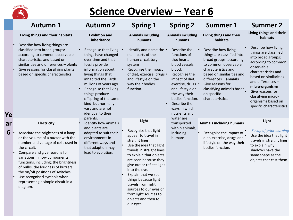

**Ye**

### **Science Overview - Year 6**

|         | <b>Autumn 1</b>                                                                                                                                                                                                                                                                                                                                                                                                    | <b>Autumn 2</b>                                                                                                                                                                                                                                                                                                                                              | <b>Spring 1</b>                                                                                                                                                                                                                                                                                                                                                                               | <b>Spring 2</b>                                                                                                                                                                                                                                                                 | <b>Summer 1</b>                                                                                                                                                                                                                                                                                                | <b>Summer 2</b>                                                                                                                                                                                                                                                                                                                    |
|---------|--------------------------------------------------------------------------------------------------------------------------------------------------------------------------------------------------------------------------------------------------------------------------------------------------------------------------------------------------------------------------------------------------------------------|--------------------------------------------------------------------------------------------------------------------------------------------------------------------------------------------------------------------------------------------------------------------------------------------------------------------------------------------------------------|-----------------------------------------------------------------------------------------------------------------------------------------------------------------------------------------------------------------------------------------------------------------------------------------------------------------------------------------------------------------------------------------------|---------------------------------------------------------------------------------------------------------------------------------------------------------------------------------------------------------------------------------------------------------------------------------|----------------------------------------------------------------------------------------------------------------------------------------------------------------------------------------------------------------------------------------------------------------------------------------------------------------|------------------------------------------------------------------------------------------------------------------------------------------------------------------------------------------------------------------------------------------------------------------------------------------------------------------------------------|
| Ye      | Living things and their habitats<br>Describe how living things are<br>classified into broad groups:<br>according to common observable<br>characteristics and based on<br>similarities and differences - plants<br>Give reasons for classifying plants<br>based on specific characteristics.                                                                                                                        | <b>Evolution and</b><br>inheritance<br>Recognise that living<br>things have changed<br>over time and that<br>fossils provide<br>information about<br>living things that<br>inhabited the Earth<br>millions of years ago.<br>Recognise that living<br>things produce<br>offspring of the same<br>kind, but normally<br>vary and are not<br>identical to their | <b>Animals including</b><br>humans<br>Identify and name the<br>main parts of the<br>human circulatory<br>system<br>Recognise the impact<br>of diet, exercise, drugs<br>and lifestyle on the<br>way their bodies<br>function.                                                                                                                                                                  | <b>Animals including</b><br>humans<br>Describe the<br>functions of<br>the: heart,<br>blood vessels,<br>blood.<br>Recognise the<br>impact of diet,<br>exercise, drugs<br>and lifestyle on<br>the way their<br>bodies function.<br>Describe the<br>ways in which<br>nutrients and | Living things and their<br>habitats<br>Describe how living<br>things are classified into<br>broad groups: according<br>to common observable<br>characteristics and<br>based on similarities and<br>$differences - animals$<br>Give reasons for<br>classifying animals based<br>on specific<br>characteristics. | Living things and their<br>habitats<br>Describe how living<br>things are classified<br>into broad groups:<br>according to common<br>observable<br>characteristics and<br>based on similarities<br>and differences -<br>micro-organisms<br>Give reasons for<br>classifying micro-<br>organisms based on<br>specific characteristics |
| ar<br>6 | Electricity<br>Associate the brightness of a lamp<br>or the volume of a buzzer with the<br>number and voltage of cells used in<br>the circuit.<br>Compare and give reasons for<br>variations in how components<br>functions, including: the brightness<br>of bulbs, the loudness of buzzers,<br>the on/off positions of switches.<br>Use recognised symbols when<br>representing a simple circuit in a<br>diagram. | parents.<br>Identify how animals<br>and plants are<br>adapted to suit their<br>environments in<br>different ways and<br>that adaption may<br>lead to evolution.                                                                                                                                                                                              | Light<br>Recognise that light<br>appear to travel in<br>straight lines.<br>Use the idea that light<br>travels in straight lines<br>to explain that objects<br>are seen because they<br>give out or reflect light<br>into the eye.<br>Explain that we see<br>things because light<br>travels from light<br>sources to our eyes or<br>from light sources to<br>objects and then to<br>our eyes. | water are<br>transported<br>within animals,<br>including<br>humans.                                                                                                                                                                                                             | <b>Animals including humans</b><br>Recognise the impact of<br>diet, exercise, drugs and<br>lifestyle on the way their<br>bodies function.                                                                                                                                                                      | Light<br><b>Recap of prior learning</b><br>Use the idea that light<br>travels in straight lines<br>to explain why<br>shadows have the<br>same shape as the<br>objects that cast them.                                                                                                                                              |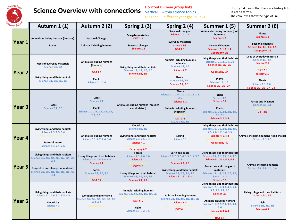

Horizontal - year group links Vertical – within science topics Diagonal - different year group links

| mary School       | Autumn 1 (1)                                                                                                                                                                      | Autumn 2 (2)                                                                                                                                         | Spring $1(3)$                                                                                                                                                                  | Spring 2 (4)                                                                                                                                                                                 | Summer 1 (5)                                                                                                                                                                                                                                             | Summer 2 (6)                                                                                                                                                                                             |
|-------------------|-----------------------------------------------------------------------------------------------------------------------------------------------------------------------------------|------------------------------------------------------------------------------------------------------------------------------------------------------|--------------------------------------------------------------------------------------------------------------------------------------------------------------------------------|----------------------------------------------------------------------------------------------------------------------------------------------------------------------------------------------|----------------------------------------------------------------------------------------------------------------------------------------------------------------------------------------------------------------------------------------------------------|----------------------------------------------------------------------------------------------------------------------------------------------------------------------------------------------------------|
| Year 1            | Animals including humans (humans)<br><b>Plants</b>                                                                                                                                | <b>Seasonal Change</b><br>Animals including humans                                                                                                   | <b>Everyday materials</b><br><b>D&amp;T 1:3</b><br><b>Seasonal changes</b><br>Science 1:2                                                                                      | <b>Seasonal changes</b><br><b>Science 1:2, 1:3</b><br><b>Everyday materials</b><br>Science 1:3<br><b>D&amp;T 1:3</b>                                                                         | Animals including humans (not<br>humans)<br>Science 1:2<br>Seasonal changes<br>Science 1:2, 1:3, 1:4<br>Geography 1:5                                                                                                                                    | <b>Plants</b><br>Science 1:1<br><b>Seasonal changes</b><br>Science 1:2, 1:3, 1:4, 1:5<br>Geography 1:5                                                                                                   |
| Year <sub>2</sub> | Uses of everyday materials<br>Science 1:3, 1:4<br><b>D&amp;T1:3</b><br>Living things and their habitats<br>Science 1:1, 1:2, 1:5, 1:6                                             | Animals including humans<br>(humans)<br><b>D&amp;T 1:2</b><br><b>D&amp;T 2:1</b><br><b>Plants</b><br><b>Science 1:1, 1:6</b>                         | Living things and their habitats<br>Science 1:1, 1:2, 1:5, 1:6<br><b>Science 2:1, 2:2</b><br>Geography 1:5                                                                     | Animals including humans<br>(animals)<br><b>Science 1:2, 1:5</b><br>Science 2:2<br><b>Plants</b><br>Science 1:1, 1:6<br><b>Science 2:2, 2:3</b>                                              | Living things and their habitats<br>Science 1:1, 1:2, 1:5, 1:6<br>Science 2:1, 2:2, 2:3<br>Geography 1:5<br>Geography 2:4<br><b>Plants</b><br><b>Science 1:1. 1:6</b><br>Science 2:2, 2:3, 2:4                                                           | Uses of everyday materials<br>Science 1:3, 1:4<br>Science 2:1<br><b>D&amp;T1:3</b><br><b>D&amp;T 2:6</b><br><b>History 2:5</b><br><b>Plants</b><br><b>Science 1:1, 1:6</b><br>Science 2:2, 2:3, 2:4, 2:5 |
| <b>Year 3</b>     | <b>Rocks</b><br><b>Science 2:1, 2:6</b>                                                                                                                                           | Light<br>Science 1:1<br><b>Plants</b><br>Science 1:1, 1:6, 2:2, 2:3, 2:4,<br>2:5, 2:6                                                                | Animals including humans (muscles<br>and skeleton)                                                                                                                             | <b>Plants</b><br>Science 1:1, 1:6, 2:2, 2:3, 2:4, 2:5,<br>2:6<br>Science 3:2<br><b>Animals including humans</b><br>(nutrition)<br><b>D&amp;T 3:4</b><br><b>Science 2:2, 2:4</b>              | Light<br>Science 1:1<br>Science 3:2<br><b>Plants</b><br>Science 1:1, 1:6, 2:2, 2:3, 2:4,<br>2:5, 2:6<br><b>Science 3:2, 3:4</b>                                                                                                                          | <b>Forces and Magnets</b><br><b>Science 2:1, 2:6</b><br><b>D&amp;T 3:6</b>                                                                                                                               |
| Year <sub>4</sub> | Living things and their habitats<br>Science 2:3, 2:5, 3:4<br>Geography 1:5, 2:4, 2:6<br><b>States of matter</b><br>Science 1:4, 2:1, 2:6                                          | Animals including humans<br>Science 1:1, 2:2, 2:4, 3:4                                                                                               | Electricity<br><b>Science 3:2, 3:5</b><br>Living things and their habitats<br>Science 2:3, 2:5, 3:4<br>Science 4:1<br>Geography 1:5, 2:4, 2:6<br><b>Geography 4:2</b>          | Sound<br>Science 1:1                                                                                                                                                                         | Living things and their habitats<br>Science 1:1, 1:6, 2:2, 2:3, 2:4,<br>2:5, 2:6, 3:2, 3:4, 3:5<br><b>Science 4:1, 4:3</b><br>Geography 1:5, 2:4, 2:6<br><b>Geography 4:2</b>                                                                            | Animals including humans (food chains)<br><b>Science 2:3. 2:5</b>                                                                                                                                        |
| <b>Year 5</b>     | Living things and their habitats<br>Science 1:6, 2:2, 2:4, 2:6, 3:2, 3:4, 3:5,<br>4:5<br>Properties and changes of materials<br>Science 1:3, 1:4, 2:1, 2:6, 3:5, 3:6, 4:1,<br>4:3 | Living things and their habitats<br>Science 2:3, 2:4, 3:4, 4:5<br><b>Science 5:1</b><br><b>Forces</b><br>Science 2:1, 2:6, 3:6<br><b>D&amp;T 5:2</b> | <b>Forces</b><br>Science 2:1, 2:6, 3:6<br><b>Science 5:2</b><br><b>D&amp;T 5:2</b><br>Living things and their habitat<br>Science 2:3, 2:4, 3:4, 4:5<br><b>Science 5:1, 5:2</b> | <b>Earth and space</b><br>Science 1:2, 1:3, 1:4, 1:5, 1:6, 3:2,<br>3:5<br><b>Science 5:2, 5:3</b><br>Living things and their habitats<br>Science 2:3, 2:4, 3:4, 4:5<br>Science 5:1, 5:2, 5:3 | Living things and their habitats<br>Science 2:2, 2:3, 2:4, 3:4, 4:5<br>Science 5:1, 5:2, 5:3, 5:4<br>Properties and changes of<br>materials<br>Science 1:3, 1:4, 2:1, 2:6, 3:5,<br>3:6, 4:1, 4:3<br><b>Science 5:1</b>                                   | Animals including humans<br>Science 2:2, 2:4, 3:3, 3:4                                                                                                                                                   |
| Year <sub>6</sub> | Living things and their habitats<br>Science 1:1, 1:6, 3:2, 3:5, 4:5<br>Electricity<br><b>Science 4:3</b><br><b>D&amp;T4:6</b>                                                     | <b>Evolution and inheritance</b><br>Science 2:2, 2:3, 2:4, 2:5, 3:4, 4:1,<br>4:3, 4:5<br>Geography 5:6                                               | Animals including humans<br>Science 1:1, 2:2, 2:4, 3:3, 3:4, 5:6<br>D&T 1:2,2:31 3:4, 4:2, 5:1<br><b>D&amp;T 6:1</b><br>Light<br>Science 1:1, 3:2, 3:5                         | Animals including humans<br>Science 1:1, 2:2, 2:4, 3:3, 3:4, 5:6<br>Science 6:3<br>D&T 1:2,2:31 3:4, 4:2, 5:1<br><b>D&amp;T 6:1</b>                                                          | Living things and their habitats<br>Science 1:2, 1:5, 3:3, 4:5, 5:1,<br>5:2, 5:3, 5:4, 5:5<br>Science 6:1<br>Animals including humans<br>Science 1:1, 2:2, 2:4, 3:3, 3:4,<br>5:6<br>Science 6:3, 6:4<br>D&T 1:2,2:31 3:4, 4:2, 5:1<br><b>D&amp;T 6:1</b> | Living things and their habitats<br><b>Science 6:1, 6:5</b><br>Light<br>Science 1:1, 3:2, 3:5<br>Science 6:3                                                                                             |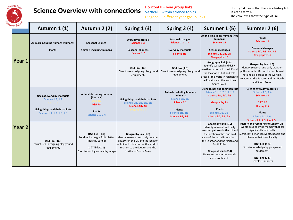

Horizontal  $-$  year group links Vertical – within science topics Diagonal - different year group links

| any School        | Autumn 1 (1)                                                                                                     | Autumn 2 (2)                                                                                                               | Spring $1(3)$                                                                                                                                                                                            | Spring $2(4)$                                                                                                                                   | Summer 1 (5)                                                                                                                                                                                                                                                                            | Summer 2 (6)                                                                                                                                                                                                                                                                                                   |
|-------------------|------------------------------------------------------------------------------------------------------------------|----------------------------------------------------------------------------------------------------------------------------|----------------------------------------------------------------------------------------------------------------------------------------------------------------------------------------------------------|-------------------------------------------------------------------------------------------------------------------------------------------------|-----------------------------------------------------------------------------------------------------------------------------------------------------------------------------------------------------------------------------------------------------------------------------------------|----------------------------------------------------------------------------------------------------------------------------------------------------------------------------------------------------------------------------------------------------------------------------------------------------------------|
| Year 1            | Animals including humans (humans)<br><b>Plants</b>                                                               | <b>Seasonal Change</b><br>Animals including humans                                                                         | <b>Everyday materials</b><br><b>Science 1:3</b><br>Seasonal changes<br>Science 1:2                                                                                                                       | Seasonal changes<br>Science 1:2, 1:3<br><b>Everyday materials</b><br>Science 1:3                                                                | Animals including humans (not<br>humans)<br>Science 1:2<br>Seasonal changes<br>Science 1:2, 1:3, 1:4<br>Geography 1:5                                                                                                                                                                   | <b>Plants</b><br>Science 1:1<br><b>Seasonal changes</b><br>Science 1:2, 1:3, 1:4, 1:5<br>Geography 1:5                                                                                                                                                                                                         |
|                   |                                                                                                                  |                                                                                                                            | D&T link (1:3)<br>Structures-designing playground<br>equipment.                                                                                                                                          | D&T link (1:3)<br>Structures-designing playground<br>equipment.                                                                                 | Geography link (1:5)<br>Identify seasonal and daily<br>weather patterns in the UK and<br>the location of hot and cold<br>areas of the world in relation to<br>the Equator and the North and<br>South Poles.                                                                             | Geography link (1:5)<br>Identify seasonal and daily weather<br>patterns in the UK and the location of<br>hot and cold areas of the world in<br>relation to the Equator and the North<br>and South Poles.                                                                                                       |
| Year <sub>2</sub> | Uses of everyday materials<br>Science 1:3, 1:4<br>Living things and their habitats<br>Science 1:1, 1:2, 1:5, 1:6 | Animals including humans<br>(humans)<br><b>D&amp;T 2:1</b><br><b>Plants</b><br>Science 1:1, 1:6                            | Living things and their habitats<br>Science 1:1, 1:2, 1:5, 1:6<br><b>Science 2:1, 2:2</b>                                                                                                                | <b>Animals including humans</b><br>(animals)<br>Science 1:2, 1:5<br>Science 2:2<br><b>Plants</b><br>Science 1:1, 1:6<br><b>Science 2:2, 2:3</b> | Living things and their habitats<br>Science 1:1, 1:2, 1:5, 1:6<br>Science 2:1, 2:2, 2:3<br>Geography 2:4<br><b>Plants</b><br><b>Science 1:1, 1:6</b><br>Science 2:2, 2:3, 2:4                                                                                                           | Uses of everyday materials<br>Science 1:3, 1:4<br><b>Science 2:1</b><br><b>D&amp;T 2:6</b><br><b>History 2:5</b><br><b>Plants</b><br>Science 1:1, 1:6<br>Science 2:2, 2:3, 2:4, 2:5                                                                                                                            |
|                   | D&T link (1:3)<br>Structures-designing playground<br>equipment.                                                  | D&T link (1:2)<br>Food technology - fruit platter<br>(healthy eating)<br>D&T link (2:1)<br>Food technology - healthy wraps | Geography link (1:5)<br>Identify seasonal and daily weather<br>patterns in the UK and the location<br>of hot and cold areas of the world in<br>relation to the Equator and the<br>North and South Poles. |                                                                                                                                                 | Geography link (1:5)<br>Identify seasonal and daily<br>weather patterns in the UK and<br>the location of hot and cold<br>areas of the world in relation to<br>the Equator and the North and<br>South Poles.<br>Geography link (2:4)<br>Name and locate the world's<br>seven continents. | History link (Great fire of London 2:5)<br>Events beyond living memory that are<br>significantly nationally.<br>Significant historical events, people and<br>places in their own locality.<br>D&T link (1:3)<br>Structures-designing playground<br>equipment.<br><b>D&amp;T link (2:6)</b><br>Textiles-puppets |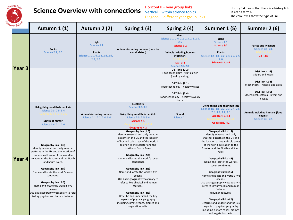

Horizontal - year group links Vertical – within science topics Diagonal - different year group links

| ary Schoo'    | Autumn 1 (1)                                                                                                                                                                                                                                                                                                                                                                                                                                  | Autumn 2 (2)                                                                          | Spring $1(3)$                                                                                                                                                                                                                                                                                                                                                                                                                                                                                                                                                                                            | Spring 2 (4)                                                                                                                                                             | Summer 1 (5)                                                                                                                                                                                                                                                                                                                                                                                                                                                                                                                                                                                                                     | Summer 2 (6)                                                                            |
|---------------|-----------------------------------------------------------------------------------------------------------------------------------------------------------------------------------------------------------------------------------------------------------------------------------------------------------------------------------------------------------------------------------------------------------------------------------------------|---------------------------------------------------------------------------------------|----------------------------------------------------------------------------------------------------------------------------------------------------------------------------------------------------------------------------------------------------------------------------------------------------------------------------------------------------------------------------------------------------------------------------------------------------------------------------------------------------------------------------------------------------------------------------------------------------------|--------------------------------------------------------------------------------------------------------------------------------------------------------------------------|----------------------------------------------------------------------------------------------------------------------------------------------------------------------------------------------------------------------------------------------------------------------------------------------------------------------------------------------------------------------------------------------------------------------------------------------------------------------------------------------------------------------------------------------------------------------------------------------------------------------------------|-----------------------------------------------------------------------------------------|
| <b>Year 3</b> | <b>Rocks</b><br><b>Science 2:1, 2:6</b>                                                                                                                                                                                                                                                                                                                                                                                                       | Light<br>Science 1:1<br><b>Plants</b><br>Science 1:1, 1:6, 2:2, 2:3, 2:4,<br>2:5, 2:6 | Animals including humans (muscles<br>and skeleton)                                                                                                                                                                                                                                                                                                                                                                                                                                                                                                                                                       | <b>Plants</b><br>Science 1:1, 1:6, 2:2, 2:3, 2:4, 2:5,<br>2:6<br>Science 3:2<br>Animals including humans<br>(nutrition)<br><b>D&amp;T 3:4</b><br><b>Science 2:2, 2:4</b> | Light<br>Science 1:1<br><b>Science 3:2</b><br><b>Plants</b><br>Science 1:1, 1:6, 2:2, 2:3, 2:4, 2:5,<br>2:6<br><b>Science 3:2, 3:4</b>                                                                                                                                                                                                                                                                                                                                                                                                                                                                                           | <b>Forces and Magnets</b><br><b>Science 2:1, 2:6</b><br><b>D&amp;T 3:6</b>              |
|               |                                                                                                                                                                                                                                                                                                                                                                                                                                               |                                                                                       |                                                                                                                                                                                                                                                                                                                                                                                                                                                                                                                                                                                                          | D&T link (1:2)<br>Food technology - fruit platter<br>(healthy eating)<br>D&T link (2:1)                                                                                  |                                                                                                                                                                                                                                                                                                                                                                                                                                                                                                                                                                                                                                  | D&T link (1:6)<br>Sliders and levers<br>D&T link (2:4)<br>Mechanisms - wheels and axles |
|               |                                                                                                                                                                                                                                                                                                                                                                                                                                               |                                                                                       |                                                                                                                                                                                                                                                                                                                                                                                                                                                                                                                                                                                                          | Food technology - healthy wraps<br>D&T link (3:4)<br>Food technology - healthy savoury<br>tarts                                                                          |                                                                                                                                                                                                                                                                                                                                                                                                                                                                                                                                                                                                                                  | D&T link (3:6)<br>Mechanical systems - levers and<br>linkages                           |
|               | Living things and their habitats<br>Science 2:3, 2:5, 3:4<br><b>States of matter</b><br>Science 1:4, 2:1, 2:6                                                                                                                                                                                                                                                                                                                                 | Animals including humans<br>Science 1:1, 2:2, 2:4, 3:4                                | Electricity<br>Science 3:2, 3:5<br>Living things and their habitats<br>Science 2:3, 2:5, 3:4<br><b>Science 4:1</b><br><b>Geography 4:2</b>                                                                                                                                                                                                                                                                                                                                                                                                                                                               | Sound<br>Science 1:1                                                                                                                                                     | Living things and their habitats<br>Science 1:1, 1:6, 2:2, 2:3, 2:4, 2:5<br>2:6, 3:2, 3:4, 3:5<br><b>Science 4:1, 4:3</b><br>Geography 4:2                                                                                                                                                                                                                                                                                                                                                                                                                                                                                       | Animals including humans (food<br>chains)<br><b>Science 2:3, 2:5</b>                    |
| Year 4        | Geography link (1:5)<br>Identify seasonal and daily weather<br>patterns in the UK and the location of<br>hot and cold areas of the world in<br>relation to the Equator and the North<br>and South Poles.<br>Geography link (2:4)<br>Name and locate the world's seven<br>continents.<br>Geography link (2:6)<br>Name and locate the world's five<br>oceans.<br>Use basic geography vocabulary to refer<br>to key physical and human features. |                                                                                       | Geography link (1:5)<br>Identify seasonal and daily weather<br>patterns in the UK and the location<br>of hot and cold areas of the world ir<br>relation to the Equator and the<br>North and South Poles.<br>Geography link (2:4)<br>Name and locate the world's seven<br>continents.<br>Geography link (2:6)<br>Name and locate the world's five<br>oceans.<br>Use basic geography vocabulary to<br>refer to key physical and human<br>features.<br>Geography link (4:2)<br>Describe and understand the key<br>aspects of physical geography<br>including climate zones, biomes and<br>vegetation belts. |                                                                                                                                                                          | Geography link (1:5)<br>Identify seasonal and daily<br>weather patterns in the UK and<br>the location of hot and cold areas<br>of the world in relation to the<br>Equator and the North and South<br>Poles.<br>Geography link (2:4)<br>Name and locate the world's<br>seven continents.<br>Geography link (2:6)<br>Name and locate the world's five<br>oceans.<br>Use basic geography vocabulary to<br>refer to key physical and human<br>features.<br>d human features.<br>Geography link (4:2)<br>Describe and understand the key<br>aspects of physical geography<br>including climate zones, biomes<br>and vegetation belts. |                                                                                         |